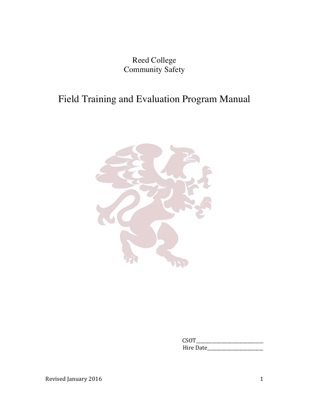Reed College Community Safety

# Field Training and Evaluation Program Manual



 $CSOT$ Hire Date\_\_\_\_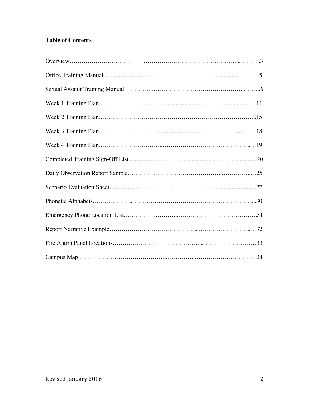## **Table of Contents**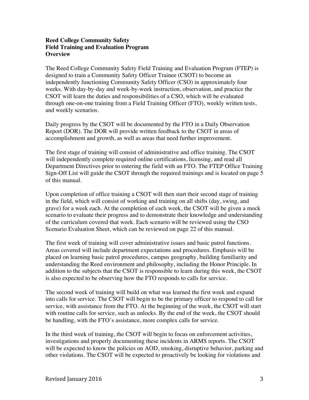#### **Reed College Community Safety Field Training and Evaluation Program Overview**

The Reed College Community Safety Field Training and Evaluation Program (FTEP) is designed to train a Community Safety Officer Trainee (CSOT) to become an independently functioning Community Safety Officer (CSO) in approximately four weeks. With day-by-day and week-by-week instruction, observation, and practice the CSOT will learn the duties and responsibilities of a CSO, which will be evaluated through one-on-one training from a Field Training Officer (FTO), weekly written tests, and weekly scenarios.

Daily progress by the CSOT will be documented by the FTO in a Daily Observation Report (DOR). The DOR will provide written feedback to the CSOT in areas of accomplishment and growth, as well as areas that need further improvement.

The first stage of training will consist of administrative and office training. The CSOT will independently complete required online certifications, licensing, and read all Department Directives prior to entering the field with an FTO. The FTEP Office Training Sign-Off List will guide the CSOT through the required trainings and is located on page 5 of this manual.

Upon completion of office training a CSOT will then start their second stage of training in the field, which will consist of working and training on all shifts (day, swing, and grave) for a week each. At the completion of each week, the CSOT will be given a mock scenario to evaluate their progress and to demonstrate their knowledge and understanding of the curriculum covered that week. Each scenario will be reviewed using the CSO Scenario Evaluation Sheet, which can be reviewed on page 22 of this manual.

The first week of training will cover administrative issues and basic patrol functions. Areas covered will include department expectations and procedures. Emphasis will be placed on learning basic patrol procedures, campus geography, building familiarity and understanding the Reed environment and philosophy, including the Honor Principle. In addition to the subjects that the CSOT is responsible to learn during this week, the CSOT is also expected to be observing how the FTO responds to calls for service.

The second week of training will build on what was learned the first week and expand into calls for service. The CSOT will begin to be the primary officer to respond to call for service, with assistance from the FTO. At the beginning of the week, the CSOT will start with routine calls for service, such as unlocks. By the end of the week, the CSOT should be handling, with the FTO's assistance, more complex calls for service.

In the third week of training, the CSOT will begin to focus on enforcement activities, investigations and properly documenting these incidents in ARMS reports. The CSOT will be expected to know the policies on AOD, smoking, disruptive behavior, parking and other violations. The CSOT will be expected to proactively be looking for violations and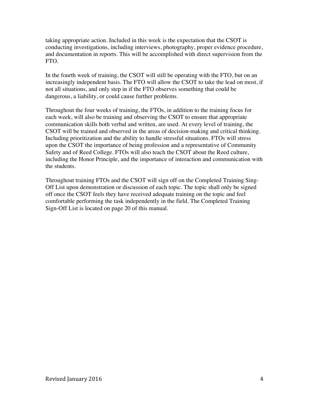taking appropriate action. Included in this week is the expectation that the CSOT is conducting investigations, including interviews, photography, proper evidence procedure, and documentation in reports. This will be accomplished with direct supervision from the FTO.

In the fourth week of training, the CSOT will still be operating with the FTO, but on an increasingly independent basis. The FTO will allow the CSOT to take the lead on most, if not all situations, and only step in if the FTO observes something that could be dangerous, a liability, or could cause further problems.

Throughout the four weeks of training, the FTOs, in addition to the training focus for each week, will also be training and observing the CSOT to ensure that appropriate communication skills both verbal and written, are used. At every level of training, the CSOT will be trained and observed in the areas of decision-making and critical thinking. Including prioritization and the ability to handle stressful situations. FTOs will stress upon the CSOT the importance of being profession and a representative of Community Safety and of Reed College. FTOs will also teach the CSOT about the Reed culture, including the Honor Principle, and the importance of interaction and communication with the students.

Throughout training FTOs and the CSOT will sign off on the Completed Training Sing-Off List upon demonstration or discussion of each topic. The topic shall only be signed off once the CSOT feels they have received adequate training on the topic and feel comfortable performing the task independently in the field. The Completed Training Sign-Off List is located on page 20 of this manual.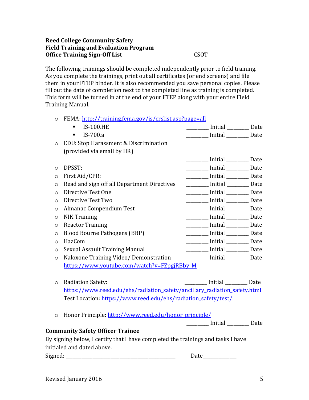#### **Reed College Community Safety Field Training and Evaluation Program** Office Training Sign-Off List CSOT

The following trainings should be completed independently prior to field training. As you complete the trainings, print out all certificates (or end screens) and file them in your FTEP binder. It is also recommended you save personal copies. Please fill out the date of completion next to the completed line as training is completed. This form will be turned in at the end of your FTEP along with your entire Field Training Manual. 

#### o FEMA: http://training.fema.gov/is/crslist.asp?page=all

|         | <b>IS-100.HE</b>                            | <b>Initial</b>             | Date |
|---------|---------------------------------------------|----------------------------|------|
|         | IS-700.a<br>٠                               | Initial _____________ Date |      |
| $\circ$ | EDU: Stop Harassment & Discrimination       |                            |      |
|         | (provided via email by HR)                  |                            |      |
|         |                                             | Initial                    | Date |
| $\circ$ | DPSST:                                      | <b>Initial</b>             | Date |
| $\circ$ | First Aid/CPR:                              | Initial 1988               | Date |
| $\circ$ | Read and sign off all Department Directives | <b>Initial</b>             | Date |
| $\circ$ | Directive Test One                          | Initial <u>________</u>    | Date |
| $\circ$ | Directive Test Two                          | <b>Initial</b>             | Date |
| O       | Almanac Compendium Test                     |                            | Date |
| $\circ$ | <b>NIK Training</b>                         | <b>Initial</b>             | Date |
| $\circ$ | <b>Reactor Training</b>                     | Initial                    | Date |
| $\circ$ | <b>Blood Bourne Pathogens (BBP)</b>         |                            | Date |
| $\circ$ | HazCom                                      | <b>Initial</b>             | Date |
| $\circ$ | Sexual Assault Training Manual              | $\_$ Initial $\_\_$        | Date |
| $\circ$ | Naloxone Training Video/ Demonstration      | Initial Date               |      |
|         | https://www.youtube.com/watch?v=FZpgjRBby M |                            |      |
|         |                                             |                            |      |

- o Radiation Safety: and the set of the set of the set of the set of the set of the set of the set of the set of the set of the set of the set of the set of the set of the set of the set of the set of the set of the set of https://www.reed.edu/ehs/radiation\_safety/ancillary\_radiation\_safety.html Test Location: https://www.reed.edu/ehs/radiation\_safety/test/
- o Honor Principle: http://www.reed.edu/honor\_principle/

\_\_\_\_\_\_\_\_\_\_\_ Initial \_\_\_\_\_\_\_\_\_\_ Date

#### **Community Safety Officer Trainee**

By signing below, I certify that I have completed the trainings and tasks I have initialed and dated above.

Signed: \_\_\_\_\_\_\_\_\_\_\_\_\_\_\_\_\_\_\_\_\_\_\_\_\_\_\_\_\_\_\_\_\_\_\_\_\_\_\_\_\_\_\_\_\_\_\_\_\_ Date\_\_\_\_\_\_\_\_\_\_\_\_\_\_\_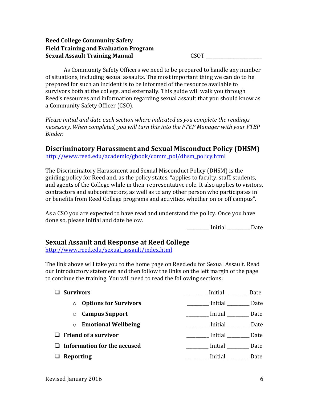#### **Reed College Community Safety Field Training and Evaluation Program Sexual Assault Training Manual** CSOT \_\_\_\_\_\_\_\_\_\_\_\_\_\_\_\_\_\_\_\_\_\_\_\_\_

As Community Safety Officers we need to be prepared to handle any number of situations, including sexual assaults. The most important thing we can do to be prepared for such an incident is to be informed of the resource available to survivors both at the college, and externally. This guide will walk you through Reed's resources and information regarding sexual assault that you should know as a Community Safety Officer (CSO).

*Please initial and date each section where indicated as you complete the readings necessary.* When completed, you will turn this into the FTEP Manager with your FTEP *Binder.*

## **Discriminatory Harassment and Sexual Misconduct Policy (DHSM)**

http://www.reed.edu/academic/gbook/comm\_pol/dhsm\_policy.html

The Discriminatory Harassment and Sexual Misconduct Policy (DHSM) is the guiding policy for Reed and, as the policy states, "applies to faculty, staff, students, and agents of the College while in their representative role. It also applies to visitors, contractors and subcontractors, as well as to any other person who participates in or benefits from Reed College programs and activities, whether on or off campus".

As a CSO you are expected to have read and understand the policy. Once you have done so, please initial and date below.

 \_\_\_\_\_\_\_\_\_\_ Initial \_\_\_\_\_\_\_\_\_\_ Date

### **Sexual Assault and Response at Reed College**

http://www.reed.edu/sexual\_assault/index.html

The link above will take you to the home page on Reed.edu for Sexual Assault. Read our introductory statement and then follow the links on the left margin of the page to continue the training. You will need to read the following sections:

| <b>Survivors</b> |                                    | Initial _______________ Date         |
|------------------|------------------------------------|--------------------------------------|
| $\circ$          | <b>Options for Survivors</b>       | <b>Example 1</b> Initial <b>Date</b> |
|                  | $\circ$ Campus Support             |                                      |
|                  | $\circ$ Emotional Wellbeing        | <b>Example 1</b> Initial <b>Date</b> |
|                  | $\Box$ Friend of a survivor        | Initial Date                         |
|                  | $\Box$ Information for the accused |                                      |
| $\Box$ Reporting |                                    | Initial<br>Date                      |
|                  |                                    |                                      |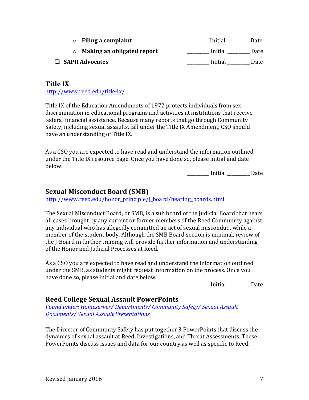| <b>Filing a complaint</b>  | Initial<br>Date |
|----------------------------|-----------------|
| Making an obligated report | Initial<br>Date |
| $\Box$ SAPR Advocates      | Initial<br>Date |

#### **Title IX**

http://www.reed.edu/title-ix/

Title IX of the Education Amendments of 1972 protects individuals from sex discrimination in educational programs and activities at institutions that receive federal financial assistance. Because many reports that go through Community Safety, including sexual assaults, fall under the Title IX Amendment, CSO should have an understanding of Title IX.

As a CSO you are expected to have read and understand the information outlined under the Title IX resource page. Once you have done so, please initial and date below.

 \_\_\_\_\_\_\_\_\_\_ Initial \_\_\_\_\_\_\_\_\_\_ Date

#### **Sexual Misconduct Board (SMB)**

http://www.reed.edu/honor\_principle/j\_board/hearing\_boards.html

The Sexual Misconduct Board, or SMB, is a sub board of the Judicial Board that hears all cases brought by any current or former members of the Reed Community against any individual who has allegedly committed an act of sexual misconduct while a member of the student body. Although the SMB Board section is minimal, review of the I-Board in further training will provide further information and understanding of the Honor and Judicial Processes at Reed.

As a CSO you are expected to have read and understand the information outlined under the SMB, as students might request information on the process. Once you have done so, please initial and date below.

Initial Date

#### **Reed College Sexual Assault PowerPoints**

Found under: Homeserver/ Departments/ Community Safety/ Sexual Assault *Documents/ Sexual Assault Presentations*

The Director of Community Safety has put together 3 PowerPoints that discuss the dynamics of sexual assault at Reed, Investigations, and Threat Assessments. These PowerPoints discuss issues and data for our country as well as specific to Reed.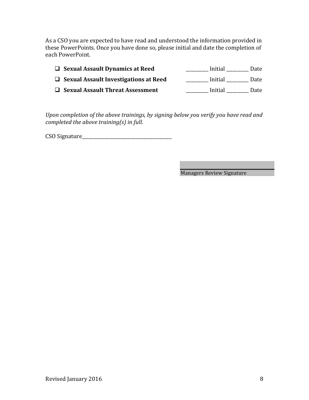As a CSO you are expected to have read and understood the information provided in these PowerPoints. Once you have done so, please initial and date the completion of each PowerPoint.

| $\Box$ Sexual Assault Dynamics at Reed       | Initial<br>Date |
|----------------------------------------------|-----------------|
| $\Box$ Sexual Assault Investigations at Reed | Initial<br>Date |
| $\Box$ Sexual Assault Threat Assessment      | Initial<br>Date |

Upon completion of the above trainings, by signing below you verify you have read and *completed the above training(s) in full.* 

CSO Signature\_\_\_\_\_\_\_\_\_\_\_\_\_\_\_\_\_\_\_\_\_\_\_\_\_\_\_\_\_\_\_\_\_\_\_\_\_\_\_\_

**Managers Review Signature**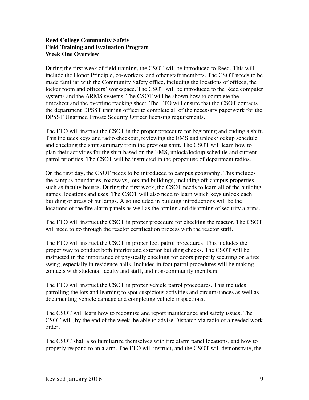#### **Reed College Community Safety Field Training and Evaluation Program Week One Overview**

During the first week of field training, the CSOT will be introduced to Reed. This will include the Honor Principle, co-workers, and other staff members. The CSOT needs to be made familiar with the Community Safety office, including the locations of offices, the locker room and officers' workspace. The CSOT will be introduced to the Reed computer systems and the ARMS systems. The CSOT will be shown how to complete the timesheet and the overtime tracking sheet. The FTO will ensure that the CSOT contacts the department DPSST training officer to complete all of the necessary paperwork for the DPSST Unarmed Private Security Officer licensing requirements.

The FTO will instruct the CSOT in the proper procedure for beginning and ending a shift. This includes keys and radio checkout, reviewing the EMS and unlock/lockup schedule and checking the shift summary from the previous shift. The CSOT will learn how to plan their activities for the shift based on the EMS, unlock/lockup schedule and current patrol priorities. The CSOT will be instructed in the proper use of department radios.

On the first day, the CSOT needs to be introduced to campus geography. This includes the campus boundaries, roadways, lots and buildings, including off-campus properties such as faculty houses. During the first week, the CSOT needs to learn all of the building names, locations and uses. The CSOT will also need to learn which keys unlock each building or areas of buildings. Also included in building introductions will be the locations of the fire alarm panels as well as the arming and disarming of security alarms.

The FTO will instruct the CSOT in proper procedure for checking the reactor. The CSOT will need to go through the reactor certification process with the reactor staff.

The FTO will instruct the CSOT in proper foot patrol procedures. This includes the proper way to conduct both interior and exterior building checks. The CSOT will be instructed in the importance of physically checking for doors properly securing on a free swing, especially in residence halls. Included in foot patrol procedures will be making contacts with students, faculty and staff, and non-community members.

The FTO will instruct the CSOT in proper vehicle patrol procedures. This includes patrolling the lots and learning to spot suspicious activities and circumstances as well as documenting vehicle damage and completing vehicle inspections.

The CSOT will learn how to recognize and report maintenance and safety issues. The CSOT will, by the end of the week, be able to advise Dispatch via radio of a needed work order.

The CSOT shall also familiarize themselves with fire alarm panel locations, and how to properly respond to an alarm. The FTO will instruct, and the CSOT will demonstrate, the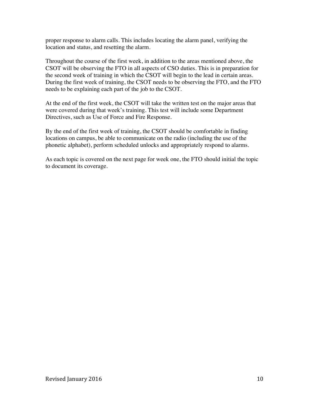proper response to alarm calls. This includes locating the alarm panel, verifying the location and status, and resetting the alarm.

Throughout the course of the first week, in addition to the areas mentioned above, the CSOT will be observing the FTO in all aspects of CSO duties. This is in preparation for the second week of training in which the CSOT will begin to the lead in certain areas. During the first week of training, the CSOT needs to be observing the FTO, and the FTO needs to be explaining each part of the job to the CSOT.

At the end of the first week, the CSOT will take the written test on the major areas that were covered during that week's training. This test will include some Department Directives, such as Use of Force and Fire Response.

By the end of the first week of training, the CSOT should be comfortable in finding locations on campus, be able to communicate on the radio (including the use of the phonetic alphabet), perform scheduled unlocks and appropriately respond to alarms.

As each topic is covered on the next page for week one, the FTO should initial the topic to document its coverage.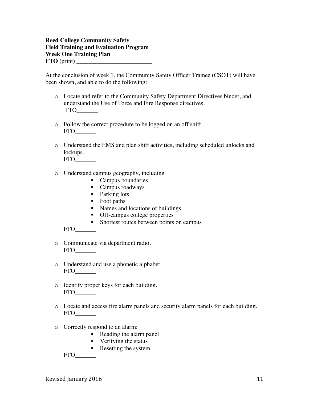#### **Reed College Community Safety Field Training and Evaluation Program Week One Training Plan FTO** (print)

At the conclusion of week 1, the Community Safety Officer Trainee (CSOT) will have been shown, and able to do the following:

- o Locate and refer to the Community Safety Department Directives binder, and understand the Use of Force and Fire Response directives. FTO\_\_\_\_\_\_\_
- o Follow the correct procedure to be logged on an off shift. FTO\_\_\_\_\_\_\_
- o Understand the EMS and plan shift activities, including scheduled unlocks and lockups.

FTO\_\_\_\_\_\_\_

- o Understand campus geography, including
	- Campus boundaries
	- Campus roadways
	- Parking lots
	- Foot paths
	- § Names and locations of buildings
	- Off-campus college properties
	- Shortest routes between points on campus

FTO\_\_\_\_\_\_\_

- o Communicate via department radio. FTO\_\_\_\_\_\_\_
- o Understand and use a phonetic alphabet FTO\_\_\_\_\_\_\_
- o Identify proper keys for each building. FTO\_\_\_\_\_\_\_
- o Locate and access fire alarm panels and security alarm panels for each building. FTO\_\_\_\_\_\_\_
- o Correctly respond to an alarm:
	- Reading the alarm panel
	- Verifying the status
	- Resetting the system

FTO\_\_\_\_\_\_\_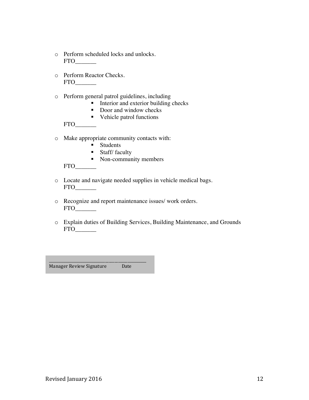- o Perform scheduled locks and unlocks. FTO\_\_\_\_\_\_\_
- o Perform Reactor Checks. FTO\_\_\_\_\_\_\_
- o Perform general patrol guidelines, including
	- Interior and exterior building checks
	- Door and window checks
	- Vehicle patrol functions

 $FTO$ 

- o Make appropriate community contacts with:
	- Students
	- Staff/ faculty
	- Non-community members

FTO\_\_\_\_\_\_\_

- o Locate and navigate needed supplies in vehicle medical bags. FTO\_\_\_\_\_\_\_
- o Recognize and report maintenance issues/ work orders. FTO\_\_\_\_\_\_\_
- o Explain duties of Building Services, Building Maintenance, and Grounds FTO\_\_\_\_\_\_\_

Manager Review Signature Date

\_\_\_\_\_\_\_\_\_\_\_\_\_\_\_\_\_\_\_\_\_\_\_\_\_\_\_\_\_\_\_\_\_\_\_\_\_\_\_\_\_\_\_\_\_\_\_\_\_\_\_\_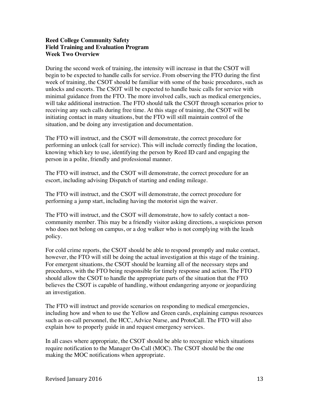#### **Reed College Community Safety Field Training and Evaluation Program Week Two Overview**

During the second week of training, the intensity will increase in that the CSOT will begin to be expected to handle calls for service. From observing the FTO during the first week of training, the CSOT should be familiar with some of the basic procedures, such as unlocks and escorts. The CSOT will be expected to handle basic calls for service with minimal guidance from the FTO. The more involved calls, such as medical emergencies, will take additional instruction. The FTO should talk the CSOT through scenarios prior to receiving any such calls during free time. At this stage of training, the CSOT will be initiating contact in many situations, but the FTO will still maintain control of the situation, and be doing any investigation and documentation.

The FTO will instruct, and the CSOT will demonstrate, the correct procedure for performing an unlock (call for service). This will include correctly finding the location, knowing which key to use, identifying the person by Reed ID card and engaging the person in a polite, friendly and professional manner.

The FTO will instruct, and the CSOT will demonstrate, the correct procedure for an escort, including advising Dispatch of starting and ending mileage.

The FTO will instruct, and the CSOT will demonstrate, the correct procedure for performing a jump start, including having the motorist sign the waiver.

The FTO will instruct, and the CSOT will demonstrate, how to safely contact a noncommunity member. This may be a friendly visitor asking directions, a suspicious person who does not belong on campus, or a dog walker who is not complying with the leash policy.

For cold crime reports, the CSOT should be able to respond promptly and make contact, however, the FTO will still be doing the actual investigation at this stage of the training. For emergent situations, the CSOT should be learning all of the necessary steps and procedures, with the FTO being responsible for timely response and action. The FTO should allow the CSOT to handle the appropriate parts of the situation that the FTO believes the CSOT is capable of handling, without endangering anyone or jeopardizing an investigation.

The FTO will instruct and provide scenarios on responding to medical emergencies, including how and when to use the Yellow and Green cards, explaining campus resources such as on-call personnel, the HCC, Advice Nurse, and ProtoCall. The FTO will also explain how to properly guide in and request emergency services.

In all cases where appropriate, the CSOT should be able to recognize which situations require notification to the Manager On-Call (MOC). The CSOT should be the one making the MOC notifications when appropriate.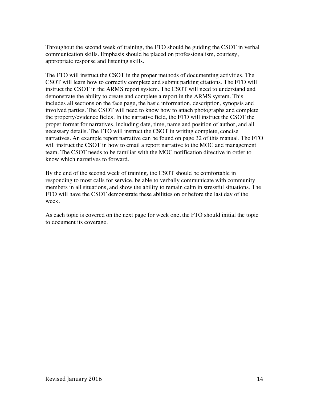Throughout the second week of training, the FTO should be guiding the CSOT in verbal communication skills. Emphasis should be placed on professionalism, courtesy, appropriate response and listening skills.

The FTO will instruct the CSOT in the proper methods of documenting activities. The CSOT will learn how to correctly complete and submit parking citations. The FTO will instruct the CSOT in the ARMS report system. The CSOT will need to understand and demonstrate the ability to create and complete a report in the ARMS system. This includes all sections on the face page, the basic information, description, synopsis and involved parties. The CSOT will need to know how to attach photographs and complete the property/evidence fields. In the narrative field, the FTO will instruct the CSOT the proper format for narratives, including date, time, name and position of author, and all necessary details. The FTO will instruct the CSOT in writing complete, concise narratives. An example report narrative can be found on page 32 of this manual. The FTO will instruct the CSOT in how to email a report narrative to the MOC and management team. The CSOT needs to be familiar with the MOC notification directive in order to know which narratives to forward.

By the end of the second week of training, the CSOT should be comfortable in responding to most calls for service, be able to verbally communicate with community members in all situations, and show the ability to remain calm in stressful situations. The FTO will have the CSOT demonstrate these abilities on or before the last day of the week.

As each topic is covered on the next page for week one, the FTO should initial the topic to document its coverage.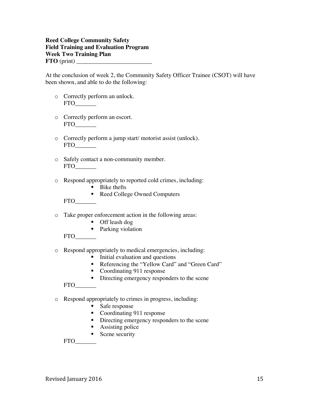#### **Reed College Community Safety Field Training and Evaluation Program Week Two Training Plan FTO** (print) \_\_\_\_\_\_\_\_\_\_\_\_\_\_\_\_\_\_\_\_\_\_\_\_\_

At the conclusion of week 2, the Community Safety Officer Trainee (CSOT) will have been shown, and able to do the following:

- o Correctly perform an unlock. FTO\_\_\_\_\_\_\_
- o Correctly perform an escort.  $FTO$
- o Correctly perform a jump start/ motorist assist (unlock). FTO\_\_\_\_\_\_\_
- o Safely contact a non-community member. FTO\_\_\_\_\_\_\_
- o Respond appropriately to reported cold crimes, including:
	- Bike thefts
	- Reed College Owned Computers

FTO\_\_\_\_\_\_\_

- o Take proper enforcement action in the following areas:
	- Off leash dog
	- Parking violation

FTO\_\_\_\_\_\_\_

- o Respond appropriately to medical emergencies, including:
	- Initial evaluation and questions
	- Referencing the "Yellow Card" and "Green Card"
	- Coordinating 911 response
	- Directing emergency responders to the scene

FTO\_\_\_\_\_\_\_

- o Respond appropriately to crimes in progress, including:
	- Safe response
	- Coordinating 911 response
	- Directing emergency responders to the scene
	- Assisting police
	- Scene security

FTO\_\_\_\_\_\_\_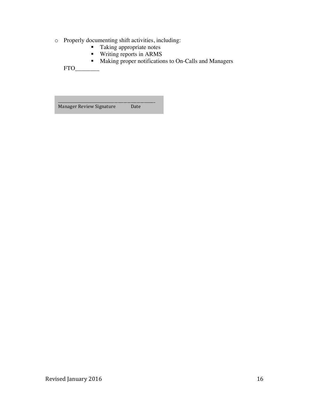- o Properly documenting shift activities, including:
	- Taking appropriate notes
	- § Writing reports in ARMS
	- Making proper notifications to On-Calls and Managers

 $FTO$ 

\_\_\_\_\_\_\_\_\_\_\_\_\_\_\_\_\_\_\_\_\_\_\_\_\_\_\_\_\_\_\_\_\_\_\_\_\_\_\_\_\_\_\_\_\_\_\_\_\_\_\_\_ Manager Review Signature Date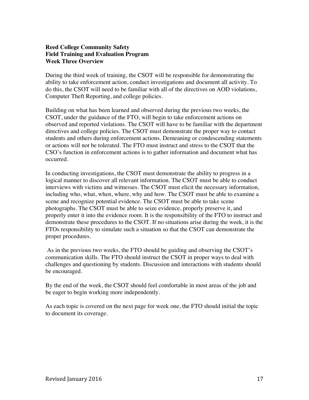#### **Reed College Community Safety Field Training and Evaluation Program Week Three Overview**

During the third week of training, the CSOT will be responsible for demonstrating the ability to take enforcement action, conduct investigations and document all activity. To do this, the CSOT will need to be familiar with all of the directives on AOD violations, Computer Theft Reporting, and college policies.

Building on what has been learned and observed during the previous two weeks, the CSOT, under the guidance of the FTO, will begin to take enforcement actions on observed and reported violations. The CSOT will have to be familiar with the department directives and college policies. The CSOT must demonstrate the proper way to contact students and others during enforcement actions. Demeaning or condescending statements or actions will not be tolerated. The FTO must instruct and stress to the CSOT that the CSO's function in enforcement actions is to gather information and document what has occurred.

In conducting investigations, the CSOT must demonstrate the ability to progress in a logical manner to discover all relevant information. The CSOT must be able to conduct interviews with victims and witnesses. The CSOT must elicit the necessary information, including who, what, when, where, why and how. The CSOT must be able to examine a scene and recognize potential evidence. The CSOT must be able to take scene photographs. The CSOT must be able to seize evidence, properly preserve it, and properly enter it into the evidence room. It is the responsibility of the FTO to instruct and demonstrate these procedures to the CSOT. If no situations arise during the week, it is the FTOs responsibility to simulate such a situation so that the CSOT can demonstrate the proper procedures.

As in the previous two weeks, the FTO should be guiding and observing the CSOT's communication skills. The FTO should instruct the CSOT in proper ways to deal with challenges and questioning by students. Discussion and interactions with students should be encouraged.

By the end of the week, the CSOT should feel comfortable in most areas of the job and be eager to begin working more independently.

As each topic is covered on the next page for week one, the FTO should initial the topic to document its coverage.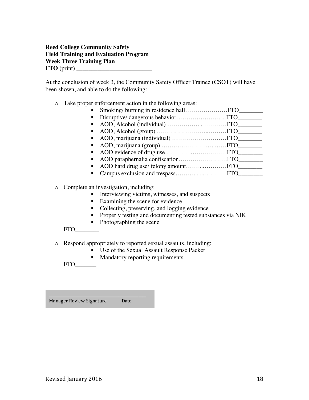#### **Reed College Community Safety Field Training and Evaluation Program Week Three Training Plan**  $\textbf{FTO}$  (print)  $\_\$

At the conclusion of week 3, the Community Safety Officer Trainee (CSOT) will have been shown, and able to do the following:

#### o Take proper enforcement action in the following areas:

| $\blacksquare$              |  |
|-----------------------------|--|
| $\blacksquare$              |  |
| $\blacksquare$              |  |
| $\blacksquare$              |  |
| $\mathbf{m}_{\mathrm{max}}$ |  |
| $\mathbf{E}$ .              |  |
| $\mathbf{m}$                |  |
| $\blacksquare$              |  |
| $\blacksquare$              |  |
| $\blacksquare$              |  |
|                             |  |

o Complete an investigation, including:

- Interviewing victims, witnesses, and suspects
- Examining the scene for evidence
- Collecting, preserving, and logging evidence
- **•** Properly testing and documenting tested substances via NIK
- Photographing the scene

FTO\_\_\_\_\_\_\_\_

- o Respond appropriately to reported sexual assaults, including:
	- Use of the Sexual Assault Response Packet
	- Mandatory reporting requirements

FTO\_\_\_\_\_\_\_

Manager Review Signature Date

\_\_\_\_\_\_\_\_\_\_\_\_\_\_\_\_\_\_\_\_\_\_\_\_\_\_\_\_\_\_\_\_\_\_\_\_\_\_\_\_\_\_\_\_\_\_\_\_\_\_\_\_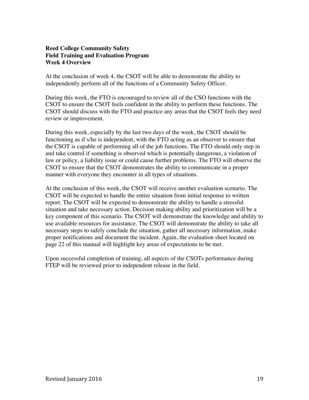#### **Reed College Community Safety Field Training and Evaluation Program Week 4 Overview**

At the conclusion of week 4, the CSOT will be able to demonstrate the ability to independently perform all of the functions of a Community Safety Officer.

During this week, the FTO is encouraged to review all of the CSO functions with the CSOT to ensure the CSOT feels confident in the ability to perform these functions. The CSOT should discuss with the FTO and practice any areas that the CSOT feels they need review or improvement.

During this week, especially by the last two days of the week, the CSOT should be functioning as if s/he is independent, with the FTO acting as an observer to ensure that the CSOT is capable of performing all of the job functions. The FTO should only step in and take control if something is observed which is potentially dangerous, a violation of law or policy, a liability issue or could cause further problems. The FTO will observe the CSOT to ensure that the CSOT demonstrates the ability to communicate in a proper manner with everyone they encounter in all types of situations.

At the conclusion of this week, the CSOT will receive another evaluation scenario. The CSOT will be expected to handle the entire situation from initial response to written report. The CSOT will be expected to demonstrate the ability to handle a stressful situation and take necessary action. Decision making ability and prioritization will be a key component of this scenario. The CSOT will demonstrate the knowledge and ability to use available resources for assistance. The CSOT will demonstrate the ability to take all necessary steps to safely conclude the situation, gather all necessary information, make proper notifications and document the incident. Again, the evaluation sheet located on page 22 of this manual will highlight key areas of expectations to be met.

Upon successful completion of training, all aspects of the CSOTs performance during FTEP will be reviewed prior to independent release in the field.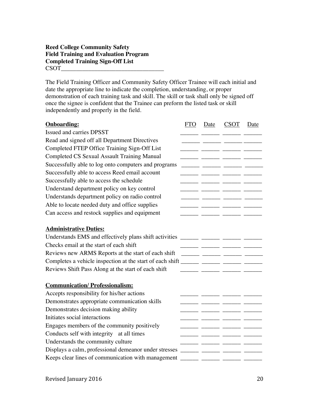#### **Reed College Community Safety Field Training and Evaluation Program Completed Training Sign-Off List** CSOT\_\_\_\_\_\_\_\_\_\_\_\_\_\_\_\_\_\_\_\_\_\_\_\_\_\_\_\_\_\_\_\_\_\_

The Field Training Officer and Community Safety Officer Trainee will each initial and date the appropriate line to indicate the completion, understanding, or proper demonstration of each training task and skill. The skill or task shall only be signed off once the signee is confident that the Trainee can preform the listed task or skill independently and properly in the field.

| <b>Onboarding:</b>                                        | <b>FTO</b> | Date | <b>CSOT</b>                                       | Date |
|-----------------------------------------------------------|------------|------|---------------------------------------------------|------|
| <b>Issued and carries DPSST</b>                           |            |      | $\overline{\phantom{a}}$ $\overline{\phantom{a}}$ |      |
| Read and signed off all Department Directives             |            |      |                                                   |      |
| Completed FTEP Office Training Sign-Off List              |            |      |                                                   |      |
| <b>Completed CS Sexual Assault Training Manual</b>        |            |      |                                                   |      |
| Successfully able to log onto computers and programs      |            |      |                                                   |      |
| Successfully able to access Reed email account            |            |      |                                                   |      |
| Successfully able to access the schedule                  |            |      |                                                   |      |
| Understand department policy on key control               |            |      |                                                   |      |
| Understands department policy on radio control            |            |      |                                                   |      |
| Able to locate needed duty and office supplies            |            |      |                                                   |      |
| Can access and restock supplies and equipment             |            |      |                                                   |      |
|                                                           |            |      |                                                   |      |
| <b>Administrative Duties:</b>                             |            |      |                                                   |      |
| Understands EMS and effectively plans shift activities    |            |      |                                                   |      |
| Checks email at the start of each shift                   |            |      |                                                   |      |
| Reviews new ARMS Reports at the start of each shift       |            |      |                                                   |      |
| Completes a vehicle inspection at the start of each shift |            |      |                                                   |      |
| Reviews Shift Pass Along at the start of each shift       |            |      | <u> 1988 - Alexandr Alexandr Alexandr III (</u>   |      |
|                                                           |            |      |                                                   |      |
| <b>Communication/Professionalism:</b>                     |            |      |                                                   |      |
| Accepts responsibility for his/her actions                |            |      |                                                   |      |
| Demonstrates appropriate communication skills             |            |      |                                                   |      |
| Demonstrates decision making ability                      |            |      |                                                   |      |
| Initiates social interactions                             |            |      |                                                   |      |
| Engages members of the community positively               |            |      |                                                   |      |
| Conducts self with integrity at all times                 |            |      |                                                   |      |
| Understands the community culture                         |            |      |                                                   |      |
| Displays a calm, professional demeanor under stresses     |            |      |                                                   |      |
| Keeps clear lines of communication with management        |            |      |                                                   |      |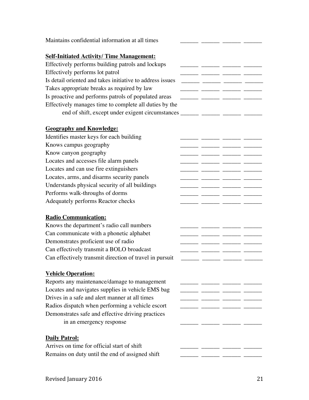| Maintains confidential information at all times           |                                    |  |
|-----------------------------------------------------------|------------------------------------|--|
| <b>Self-Initiated Activity/Time Management:</b>           |                                    |  |
| Effectively performs building patrols and lockups         | <u> 1989 - Jan Jan Jan Jan Jan</u> |  |
| Effectively performs lot patrol                           |                                    |  |
| Is detail oriented and takes initiative to address issues |                                    |  |
| Takes appropriate breaks as required by law               |                                    |  |
| Is proactive and performs patrols of populated areas      |                                    |  |
| Effectively manages time to complete all duties by the    |                                    |  |
|                                                           |                                    |  |
| <b>Geography and Knowledge:</b>                           |                                    |  |
| Identifies master keys for each building                  | _ _________ ________ ______        |  |
| Knows campus geography                                    |                                    |  |
| Know canyon geography                                     |                                    |  |
| Locates and accesses file alarm panels                    |                                    |  |
| Locates and can use fire extinguishers                    |                                    |  |
| Locates, arms, and disarms security panels                |                                    |  |
| Understands physical security of all buildings            |                                    |  |
| Performs walk-throughs of dorms                           |                                    |  |
| Adequately performs Reactor checks                        |                                    |  |
| <b>Radio Communication:</b>                               |                                    |  |
| Knows the department's radio call numbers                 |                                    |  |
| Can communicate with a phonetic alphabet                  |                                    |  |
| Demonstrates proficient use of radio                      |                                    |  |
| Can effectively transmit a BOLO broadcast                 |                                    |  |
| Can effectively transmit direction of travel in pursuit   |                                    |  |
| <b>Vehicle Operation:</b>                                 |                                    |  |
| Reports any maintenance/damage to management              |                                    |  |
| Locates and navigates supplies in vehicle EMS bag         |                                    |  |
| Drives in a safe and alert manner at all times            |                                    |  |
| Radios dispatch when performing a vehicle escort          |                                    |  |
| Demonstrates safe and effective driving practices         |                                    |  |
| in an emergency response                                  |                                    |  |
| <b>Daily Patrol:</b>                                      |                                    |  |
| Arrives on time for official start of shift               |                                    |  |
| Remains on duty until the end of assigned shift           |                                    |  |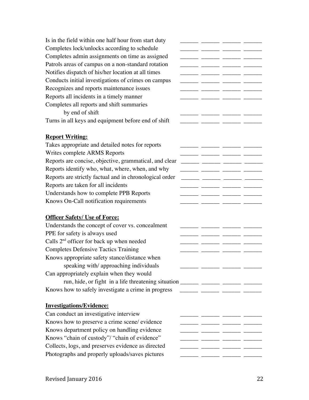Is in the field within one half hour from start duty  $\Box$ Completes lock/unlocks according to schedule \_\_\_\_\_\_\_\_\_\_\_\_\_\_\_\_\_\_\_\_\_\_\_\_\_\_\_\_\_\_\_\_\_\_\_ Completes admin assignments on time as assigned Patrols areas of campus on a non-standard rotation  $\frac{1}{\frac{1}{\frac{1}{\frac{1}{\cdots}}}}$ Notifies dispatch of his/her location at all times Conducts initial investigations of crimes on campus  $\Box$  \_\_\_\_\_\_ \_\_\_\_\_\_ \_\_\_\_\_\_ \_\_ Recognizes and reports maintenance issues \_\_\_\_\_\_\_ \_\_\_\_\_\_ \_\_\_\_\_\_ \_\_\_\_\_ \_\_ Reports all incidents in a timely manner  $\frac{1}{\frac{1}{1-\frac{1}{1-\frac{1}{1-\frac{1}{1-\frac{1}{1-\frac{1}{1-\frac{1}{1-\frac{1}{1-\frac{1}{1-\frac{1}{1-\frac{1}{1-\frac{1}{1-\frac{1}{1-\frac{1}{1-\frac{1}{1-\frac{1}{1-\frac{1}{1-\frac{1}{1-\frac{1}{1-\frac{1}{1-\frac{1}{1-\frac{1}{1-\frac{1}{1-\frac{1}{1-\frac{1}{1-\frac{1}{1-\frac{1}{1-\frac{1}{1-\frac{1}{1$ Completes all reports and shift summaries by end of shift  $\frac{1}{2}$  and  $\frac{1}{2}$  and  $\frac{1}{2}$  and  $\frac{1}{2}$  and  $\frac{1}{2}$  and  $\frac{1}{2}$  and  $\frac{1}{2}$  and  $\frac{1}{2}$  and  $\frac{1}{2}$  and  $\frac{1}{2}$  and  $\frac{1}{2}$  and  $\frac{1}{2}$  and  $\frac{1}{2}$  and  $\frac{1}{2}$  and  $\frac{1}{2}$ Turns in all keys and equipment before end of shift \_\_\_\_\_\_\_ \_\_\_\_\_ \_\_\_ **Report Writing:** Takes appropriate and detailed notes for reports \_\_\_\_\_\_\_\_\_\_\_\_\_\_\_\_\_\_\_\_\_\_\_\_\_\_\_\_\_\_\_ Writes complete ARMS Reports \_\_\_\_\_\_\_\_ \_\_\_\_\_\_ \_\_\_\_\_\_ \_\_\_\_\_\_ \_\_ Reports are concise, objective, grammatical, and clear \_\_\_\_\_\_\_ \_\_\_\_\_\_\_ \_\_\_\_\_\_ \_\_ Reports identify who, what, where, when, and why  $\frac{1}{\frac{1}{1-\frac{1}{1-\frac{1}{1-\frac{1}{1-\frac{1}{1-\frac{1}{1-\frac{1}{1-\frac{1}{1-\frac{1}{1-\frac{1}{1-\frac{1}{1-\frac{1}{1-\frac{1}{1-\frac{1}{1-\frac{1}{1-\frac{1}{1-\frac{1}{1-\frac{1}{1-\frac{1}{1-\frac{1}{1-\frac{1}{1-\frac{1}{1-\frac{1}{1-\frac{1}{1-\frac{1}{1-\frac{1}{1-\frac{1}{1-\frac{1$ Reports are strictly factual and in chronological order \_\_\_\_\_\_ \_\_\_\_\_\_ \_\_\_\_\_\_ \_\_\_\_\_ Reports are taken for all incidents  $\frac{1}{\sqrt{1-\frac{1}{n}}}\frac{1}{\sqrt{1-\frac{1}{n}}}\frac{1}{\sqrt{1-\frac{1}{n}}}\frac{1}{\sqrt{1-\frac{1}{n}}}\frac{1}{\sqrt{1-\frac{1}{n}}}\frac{1}{\sqrt{1-\frac{1}{n}}}\frac{1}{\sqrt{1-\frac{1}{n}}}\frac{1}{\sqrt{1-\frac{1}{n}}}\frac{1}{\sqrt{1-\frac{1}{n}}}\frac{1}{\sqrt{1-\frac{1}{n}}}\frac{1}{\sqrt{1-\frac{1}{n}}}\frac{1}{\sqrt{$ Understands how to complete PPB Reports \_\_\_\_\_\_\_ \_\_\_\_\_\_ \_\_\_\_\_\_ \_\_\_\_\_\_ \_\_\_\_\_\_ Knows On-Call notification requirements \_\_\_\_\_\_\_\_ \_\_\_\_\_\_ \_\_ **Officer Safety/ Use of Force:** Understands the concept of cover vs. concealment  $\frac{1}{\frac{1}{\frac{1}{\frac{1}{\cdots}}}} \frac{1}{\frac{1}{\cdots}}$ PPE for safety is always used  $\overline{\phantom{a}}$ Calls  $2<sup>nd</sup>$  officer for back up when needed \_\_\_\_\_\_\_ \_\_\_\_\_\_ \_\_\_\_\_\_ \_\_\_\_\_\_ \_\_\_\_\_ Completes Defensive Tactics Training \_\_\_\_\_\_\_ \_\_\_\_\_\_ \_\_\_\_\_\_ \_\_\_\_\_ \_\_\_\_\_ Knows appropriate safety stance/distance when speaking with/ approaching individuals \_\_\_\_\_\_ \_\_\_\_\_\_ \_\_\_\_\_\_ \_\_\_\_\_\_ Can appropriately explain when they would run, hide, or fight in a life threatening situation \_\_\_\_\_\_\_\_\_\_\_\_\_\_\_\_\_\_\_\_\_\_\_\_\_\_\_\_\_ Knows how to safely investigate a crime in progress \_\_\_\_\_\_\_ \_\_\_\_\_\_ \_\_\_\_\_ **Investigations/Evidence:** Can conduct an investigative interview  $\frac{1}{\frac{1}{\frac{1}{\frac{1}{\frac{1}{\cdots}}}} \frac{1}{\frac{1}{\cdots}}}}$  \_\_\_\_\_\_\_ \_\_\_\_\_\_ \_\_\_\_\_ Knows how to preserve a crime scene/ evidence \_\_\_\_\_\_\_ \_\_\_\_\_\_ \_\_\_\_\_\_ \_\_\_\_\_\_ \_\_\_\_\_ Knows department policy on handling evidence \_\_\_\_\_\_\_\_ \_\_\_\_\_\_\_ \_\_\_\_\_\_ \_\_\_\_\_\_ Knows "chain of custody"/ "chain of evidence" \_\_\_\_\_\_\_ \_\_\_\_\_\_ \_\_\_\_\_\_ \_\_\_\_\_\_ \_\_\_\_\_ Collects, logs, and preserves evidence as directed \_\_\_\_\_\_ \_\_\_\_\_\_ \_\_\_\_\_\_ \_\_\_\_\_\_ Photographs and properly uploads/saves pictures \_\_\_\_\_\_\_ \_\_\_\_\_ \_\_\_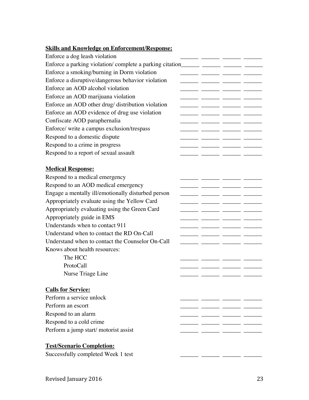## **Skills and Knowledge on Enforcement/Response:**

| Enforce a dog leash violation                      |  |  |
|----------------------------------------------------|--|--|
|                                                    |  |  |
| Enforce a smoking/burning in Dorm violation        |  |  |
| Enforce a disruptive/dangerous behavior violation  |  |  |
| Enforce an AOD alcohol violation                   |  |  |
| Enforce an AOD marijuana violation                 |  |  |
| Enforce an AOD other drug/ distribution violation  |  |  |
| Enforce an AOD evidence of drug use violation      |  |  |
| Confiscate AOD paraphernalia                       |  |  |
| Enforce/ write a campus exclusion/trespass         |  |  |
| Respond to a domestic dispute                      |  |  |
| Respond to a crime in progress                     |  |  |
| Respond to a report of sexual assault              |  |  |
|                                                    |  |  |
| <b>Medical Response:</b>                           |  |  |
| Respond to a medical emergency                     |  |  |
| Respond to an AOD medical emergency                |  |  |
| Engage a mentally ill/emotionally disturbed person |  |  |
| Appropriately evaluate using the Yellow Card       |  |  |
| Appropriately evaluating using the Green Card      |  |  |
| Appropriately guide in EMS                         |  |  |
| Understands when to contact 911                    |  |  |
| Understand when to contact the RD On-Call          |  |  |
| Understand when to contact the Counselor On-Call   |  |  |
| Knows about health resources:                      |  |  |
| The HCC                                            |  |  |
| ProtoCall                                          |  |  |
| Nurse Triage Line                                  |  |  |
|                                                    |  |  |
| <b>Calls for Service:</b>                          |  |  |
| Perform a service unlock                           |  |  |
| Perform an escort                                  |  |  |
| Respond to an alarm                                |  |  |
| Respond to a cold crime                            |  |  |
| Perform a jump start/motorist assist               |  |  |
| <b>Test/Scenario Completion:</b>                   |  |  |
| Successfully completed Week 1 test                 |  |  |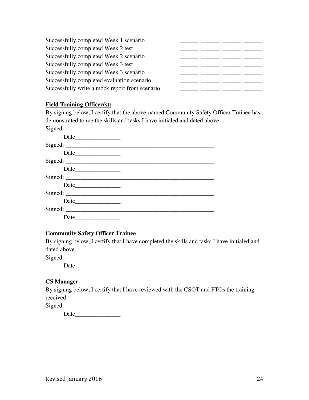#### **Field Training Officer(s):**

By signing below, I certify that the above-named Community Safety Officer Trainee has demonstrated to me the skills and tasks I have initialed and dated above.

| Signed: |  |
|---------|--|
|         |  |
|         |  |
| Date    |  |
|         |  |
|         |  |
|         |  |
| Date    |  |
|         |  |
|         |  |
|         |  |
| Date    |  |

#### **Community Safety Officer Trainee**

By signing below, I certify that I have completed the skills and tasks I have initialed and dated above.

Signed: \_\_\_\_\_\_\_\_\_\_\_\_\_\_\_\_\_\_\_\_\_\_\_\_\_\_\_\_\_\_\_\_\_\_\_\_\_\_\_\_\_\_\_\_\_\_\_\_\_

Date\_\_\_\_\_\_\_\_\_\_\_\_\_\_\_

#### **CS Manager**

By signing below, I certify that I have reviewed with the CSOT and FTOs the training received.

Signed:

Date\_\_\_\_\_\_\_\_\_\_\_\_\_\_\_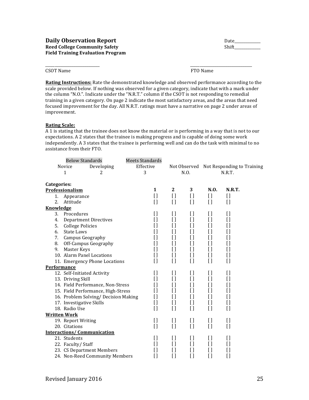CSOT Name **FTO** Name

**Rating Instructions:** Rate the demonstrated knowledge and observed performance according to the scale provided below. If nothing was observed for a given category, indicate that with a mark under the column "N.O.". Indicate under the "N.R.T." column if the CSOT is not responding to remedial training in a given category. On page 2 indicate the most satisfactory areas, and the areas that need focused improvement for the day. All N.R.T. ratings must have a narrative on page 2 under areas of improvement.

\_\_\_\_\_\_\_\_\_\_\_\_\_\_\_\_\_\_\_\_\_\_\_\_\_\_\_\_\_ \_\_\_\_\_\_\_\_\_\_\_\_\_\_\_\_\_\_\_\_\_\_\_\_\_\_\_\_\_\_\_\_\_

#### **Rating Scale:**

A 1 is stating that the trainee does not know the material or is performing in a way that is not to our expectations. A 2 states that the trainee is making progress and is capable of doing some work independently. A 3 states that the trainee is performing well and can do the task with minimal to no assistance from their FTO.

|                     | <b>Below Standards</b>   |                                      | <b>Meets Standards</b> |                |                      |                    |                                         |
|---------------------|--------------------------|--------------------------------------|------------------------|----------------|----------------------|--------------------|-----------------------------------------|
|                     | Novice                   | Developing                           | Effective              |                |                      |                    | Not Observed Not Responding to Training |
|                     | 1                        | 2                                    | 3                      |                | N.O.                 |                    | N.R.T.                                  |
| Categories:         |                          |                                      |                        |                |                      |                    |                                         |
|                     | Professionalism          |                                      | 1                      | $\mathbf{2}$   | 3                    | N.O.               | <b>N.R.T.</b>                           |
| 1.                  | Appearance               |                                      | $\left[ \ \right]$     | $\mathbf{I}$   | $[ \ ]$              | I)                 | $\mathbf{I}$                            |
| 2.                  | Attitude                 |                                      | $\left[ \ \right]$     | $[ \ ]$        | $[ \ ]$              | $\left[ \ \right]$ | $\mathbf{I}$                            |
| Knowledge           |                          |                                      |                        |                |                      |                    |                                         |
| 3.                  | Procedures               |                                      | I l                    | $\Box$         | I l                  | $\mathbf{I}$       | []                                      |
| 4.                  |                          | <b>Department Directives</b>         | []                     | $[ ]$          | []                   | $[ \ ]$            | $[ \ ]$                                 |
| 5.                  | <b>College Policies</b>  |                                      | Ħ                      | I l            | I)                   | $\left[ \ \right]$ | []                                      |
| 6.                  | <b>State Laws</b>        |                                      | []                     | []             | I l                  | I)                 | []                                      |
| 7.                  | Campus Geography         |                                      | []                     | []             | []                   | I)                 | []                                      |
| 8.                  |                          | Off-Campus Geography                 | []                     | []             | I l                  | I)                 | $\left[ \ \right]$                      |
| 9.                  | Master Keys              |                                      | H                      | $[ \ ]$        | []                   | $[ \ ]$            | $\left[ \ \right]$                      |
|                     |                          | 10. Alarm Panel Locations            | I)                     | I l            | I l                  | []                 | $\left[ \ \right]$                      |
|                     |                          | 11. Emergency Phone Locations        | I)                     | $[ \ ]$        | []                   | $[ \ ]$            | []                                      |
| Performance         |                          |                                      |                        |                |                      |                    |                                         |
|                     |                          | 12. Self-Initiated Activity          | I l                    | []             | []                   | $\mathbf{I}$       | []                                      |
|                     | 13. Driving Skill        |                                      | H                      | $[ \ ]$        | []                   | $[ \ ]$            | []                                      |
|                     |                          | 14. Field Performance, Non-Stress    | []                     | I l            | I l                  | $[ \ ]$            | []                                      |
|                     |                          | 15. Field Performance, High-Stress   | []                     | I)             | I l                  | I)                 | []                                      |
|                     |                          | 16. Problem Solving/ Decision Making | $\left[ \ \right]$     | I l            | []                   | $[ \ ]$            | $\left[ \ \right]$                      |
|                     | 17. Investigative Skills |                                      | $\left[ \ \right]$     | I l            | []                   | I)                 | IJ                                      |
|                     | 18. Radio Use            |                                      | $[ ]$                  | $[ ]$          | $[ \ ]$              | $[ ]$              | $[ \ ]$                                 |
| <b>Written Work</b> |                          |                                      |                        |                |                      |                    |                                         |
|                     | 19. Report Writing       |                                      | $[ \ ]$                | I)             | I l                  | I)                 | I)                                      |
|                     | 20. Citations            |                                      | $\left[ \ \right]$     | $[ \ ]$        | []                   | $\left[ \ \right]$ | $\mathfrak l$                           |
|                     |                          | <b>Interactions/Communication</b>    |                        |                |                      |                    |                                         |
|                     | 21. Students             |                                      | $\mathfrak{g}$         | []             | []                   | IJ                 | []                                      |
|                     | 22. Faculty/Staff        |                                      | []                     | []             | []                   | $[ \ ]$            | []                                      |
|                     |                          | 23. CS Department Members            | []                     | []             | []                   | []                 | []                                      |
|                     |                          | 24. Non-Reed Community Members       | []                     | $\overline{1}$ | $\lbrack \, \rbrack$ | $[ \ ]$            | $\lbrack \, \rbrack$                    |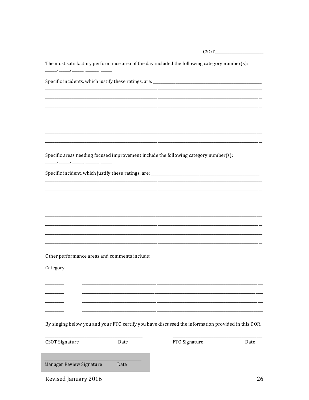The most satisfactory performance area of the day included the following category number(s):  $\overline{\phantom{a}}$ Specific incidents, which justify these ratings, are: \_\_\_\_\_\_\_\_\_\_\_\_\_\_\_\_\_\_\_\_\_\_\_\_\_\_ Specific areas needing focused improvement include the following category number(s): 

Other performance areas and comments include:

Category \_\_\_\_\_\_\_\_\_\_\_ By singing below you and your FTO certify you have discussed the information provided in this DOR. **CSOT Signature** FTO Signature Date Date Manager Review Signature Date

Revised January 2016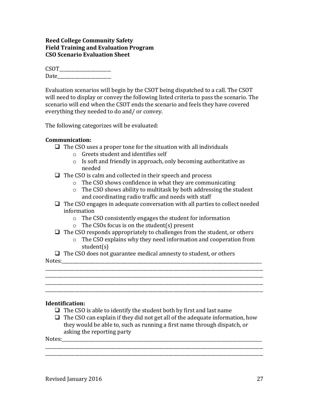#### **Reed College Community Safety Field Training and Evaluation Program CSO Scenario Evaluation Sheet**

| <b>CSOT</b> |  |  |
|-------------|--|--|
| Date        |  |  |

Evaluation scenarios will begin by the CSOT being dispatched to a call. The CSOT will need to display or convey the following listed criteria to pass the scenario. The scenario will end when the CSOT ends the scenario and feels they have covered everything they needed to do and/ or convey.

The following categorizes will be evaluated:

#### **Communication:**

- $\Box$  The CSO uses a proper tone for the situation with all individuals
	- $\circ$  Greets student and identifies self
	- $\circ$  Is soft and friendly in approach, only becoming authoritative as needed
- $\Box$  The CSO is calm and collected in their speech and process
	- $\circ$  The CSO shows confidence in what they are communicating
	- $\circ$  The CSO shows ability to multitask by both addressing the student and coordinating radio traffic and needs with staff
- $\Box$  The CSO engages in adequate conversation with all parties to collect needed information
	- $\circ$  The CSO consistently engages the student for information
	- $\circ$  The CSOs focus is on the student(s) present
- $\Box$  The CSO responds appropriately to challenges from the student, or others

\_\_\_\_\_\_\_\_\_\_\_\_\_\_\_\_\_\_\_\_\_\_\_\_\_\_\_\_\_\_\_\_\_\_\_\_\_\_\_\_\_\_\_\_\_\_\_\_\_\_\_\_\_\_\_\_\_\_\_\_\_\_\_\_\_\_\_\_\_\_\_\_\_\_\_\_\_\_\_\_\_\_\_\_\_\_\_\_\_\_\_\_\_\_\_\_\_ \_\_\_\_\_\_\_\_\_\_\_\_\_\_\_\_\_\_\_\_\_\_\_\_\_\_\_\_\_\_\_\_\_\_\_\_\_\_\_\_\_\_\_\_\_\_\_\_\_\_\_\_\_\_\_\_\_\_\_\_\_\_\_\_\_\_\_\_\_\_\_\_\_\_\_\_\_\_\_\_\_\_\_\_\_\_\_\_\_\_\_\_\_\_\_\_\_ \_\_\_\_\_\_\_\_\_\_\_\_\_\_\_\_\_\_\_\_\_\_\_\_\_\_\_\_\_\_\_\_\_\_\_\_\_\_\_\_\_\_\_\_\_\_\_\_\_\_\_\_\_\_\_\_\_\_\_\_\_\_\_\_\_\_\_\_\_\_\_\_\_\_\_\_\_\_\_\_\_\_\_\_\_\_\_\_\_\_\_\_\_\_\_\_\_ \_\_\_\_\_\_\_\_\_\_\_\_\_\_\_\_\_\_\_\_\_\_\_\_\_\_\_\_\_\_\_\_\_\_\_\_\_\_\_\_\_\_\_\_\_\_\_\_\_\_\_\_\_\_\_\_\_\_\_\_\_\_\_\_\_\_\_\_\_\_\_\_\_\_\_\_\_\_\_\_\_\_\_\_\_\_\_\_\_\_\_\_\_\_\_\_\_

 $\circ$  The CSO explains why they need information and cooperation from student(s)

 $\Box$  The CSO does not guarantee medical amnesty to student, or others Notes:

#### **Identification:**

- $\Box$  The CSO is able to identify the student both by first and last name
- $\Box$  The CSO can explain if they did not get all of the adequate information, how they would be able to, such as running a first name through dispatch, or asking the reporting party

\_\_\_\_\_\_\_\_\_\_\_\_\_\_\_\_\_\_\_\_\_\_\_\_\_\_\_\_\_\_\_\_\_\_\_\_\_\_\_\_\_\_\_\_\_\_\_\_\_\_\_\_\_\_\_\_\_\_\_\_\_\_\_\_\_\_\_\_\_\_\_\_\_\_\_\_\_\_\_\_\_\_\_\_\_\_\_\_\_\_\_\_\_\_\_\_\_ \_\_\_\_\_\_\_\_\_\_\_\_\_\_\_\_\_\_\_\_\_\_\_\_\_\_\_\_\_\_\_\_\_\_\_\_\_\_\_\_\_\_\_\_\_\_\_\_\_\_\_\_\_\_\_\_\_\_\_\_\_\_\_\_\_\_\_\_\_\_\_\_\_\_\_\_\_\_\_\_\_\_\_\_\_\_\_\_\_\_\_\_\_\_\_\_\_

Notes: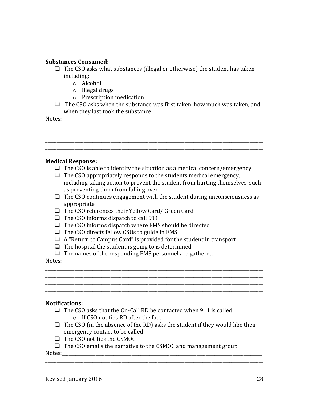#### **Substances Consumed:**

 $\Box$  The CSO asks what substances (illegal or otherwise) the student has taken including:

\_\_\_\_\_\_\_\_\_\_\_\_\_\_\_\_\_\_\_\_\_\_\_\_\_\_\_\_\_\_\_\_\_\_\_\_\_\_\_\_\_\_\_\_\_\_\_\_\_\_\_\_\_\_\_\_\_\_\_\_\_\_\_\_\_\_\_\_\_\_\_\_\_\_\_\_\_\_\_\_\_\_\_\_\_\_\_\_\_\_\_\_\_\_\_\_\_ \_\_\_\_\_\_\_\_\_\_\_\_\_\_\_\_\_\_\_\_\_\_\_\_\_\_\_\_\_\_\_\_\_\_\_\_\_\_\_\_\_\_\_\_\_\_\_\_\_\_\_\_\_\_\_\_\_\_\_\_\_\_\_\_\_\_\_\_\_\_\_\_\_\_\_\_\_\_\_\_\_\_\_\_\_\_\_\_\_\_\_\_\_\_\_\_\_

- o Alcohol
- $\circ$  Illegal drugs
- o Prescription medication
- $\Box$  The CSO asks when the substance was first taken, how much was taken, and when they last took the substance

Notes:\_\_\_\_\_\_\_\_\_\_\_\_\_\_\_\_\_\_\_\_\_\_\_\_\_\_\_\_\_\_\_\_\_\_\_\_\_\_\_\_\_\_\_\_\_\_\_\_\_\_\_\_\_\_\_\_\_\_\_\_\_\_\_\_\_\_\_\_\_\_\_\_\_\_\_\_\_\_\_\_\_\_\_\_\_\_\_\_\_

\_\_\_\_\_\_\_\_\_\_\_\_\_\_\_\_\_\_\_\_\_\_\_\_\_\_\_\_\_\_\_\_\_\_\_\_\_\_\_\_\_\_\_\_\_\_\_\_\_\_\_\_\_\_\_\_\_\_\_\_\_\_\_\_\_\_\_\_\_\_\_\_\_\_\_\_\_\_\_\_\_\_\_\_\_\_\_\_\_\_\_\_\_\_\_\_\_

#### **Medical Response:**

- $\Box$  The CSO is able to identify the situation as a medical concern/emergency
- $\Box$  The CSO appropriately responds to the students medical emergency, including taking action to prevent the student from hurting themselves, such as preventing them from falling over
- $\Box$  The CSO continues engagement with the student during unconsciousness as appropriate
- $\Box$  The CSO references their Yellow Card/ Green Card
- $\Box$  The CSO informs dispatch to call 911
- $\Box$  The CSO informs dispatch where EMS should be directed
- $\Box$  The CSO directs fellow CSOs to guide in EMS
- $\Box$  A "Return to Campus Card" is provided for the student in transport
- $\Box$  The hospital the student is going to is determined
- $\Box$  The names of the responding EMS personnel are gathered

Notes:

#### **Notifications:**

- $\Box$  The CSO asks that the On-Call RD be contacted when 911 is called  $\circ$  If CSO notifies RD after the fact
- $\Box$  The CSO (in the absence of the RD) asks the student if they would like their emergency contact to be called

\_\_\_\_\_\_\_\_\_\_\_\_\_\_\_\_\_\_\_\_\_\_\_\_\_\_\_\_\_\_\_\_\_\_\_\_\_\_\_\_\_\_\_\_\_\_\_\_\_\_\_\_\_\_\_\_\_\_\_\_\_\_\_\_\_\_\_\_\_\_\_\_\_\_\_\_\_\_\_\_\_\_\_\_\_\_\_\_\_\_\_\_\_\_\_\_\_

\_\_\_\_\_\_\_\_\_\_\_\_\_\_\_\_\_\_\_\_\_\_\_\_\_\_\_\_\_\_\_\_\_\_\_\_\_\_\_\_\_\_\_\_\_\_\_\_\_\_\_\_\_\_\_\_\_\_\_\_\_\_\_\_\_\_\_\_\_\_\_\_\_\_\_\_\_\_\_\_\_\_\_\_\_\_\_\_\_\_\_\_\_\_\_\_\_ \_\_\_\_\_\_\_\_\_\_\_\_\_\_\_\_\_\_\_\_\_\_\_\_\_\_\_\_\_\_\_\_\_\_\_\_\_\_\_\_\_\_\_\_\_\_\_\_\_\_\_\_\_\_\_\_\_\_\_\_\_\_\_\_\_\_\_\_\_\_\_\_\_\_\_\_\_\_\_\_\_\_\_\_\_\_\_\_\_\_\_\_\_\_\_\_\_ \_\_\_\_\_\_\_\_\_\_\_\_\_\_\_\_\_\_\_\_\_\_\_\_\_\_\_\_\_\_\_\_\_\_\_\_\_\_\_\_\_\_\_\_\_\_\_\_\_\_\_\_\_\_\_\_\_\_\_\_\_\_\_\_\_\_\_\_\_\_\_\_\_\_\_\_\_\_\_\_\_\_\_\_\_\_\_\_\_\_\_\_\_\_\_\_\_ \_\_\_\_\_\_\_\_\_\_\_\_\_\_\_\_\_\_\_\_\_\_\_\_\_\_\_\_\_\_\_\_\_\_\_\_\_\_\_\_\_\_\_\_\_\_\_\_\_\_\_\_\_\_\_\_\_\_\_\_\_\_\_\_\_\_\_\_\_\_\_\_\_\_\_\_\_\_\_\_\_\_\_\_\_\_\_\_\_\_\_\_\_\_\_\_\_

- $\Box$  The CSO notifies the CSMOC
- $\Box$  The CSO emails the narrative to the CSMOC and management group

Notes: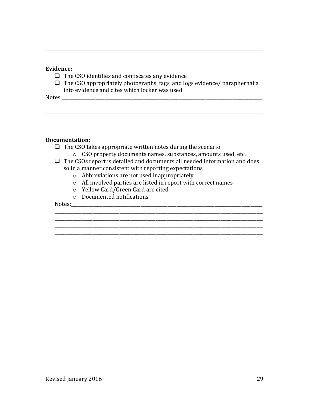#### Evidence:

- $\Box$  The CSO identifies and confiscates any evidence
- $\Box$  The CSO appropriately photographs, tags, and logs evidence/ paraphernalia into evidence and cites which locker was used

Notes:

#### **Documentation:**

- $\Box$  The CSO takes appropriate written notes during the scenario
	- o CSO property documents names, substances, amounts used, etc.
- $\Box$  The CSOs report is detailed and documents all needed information and does
	- so in a manner consistent with reporting expectations
		- $\circ$  Abbreviations are not used inappropriately
		- o All involved parties are listed in report with correct names
		- o Yellow Card/Green Card are cited
		- o Documented notifications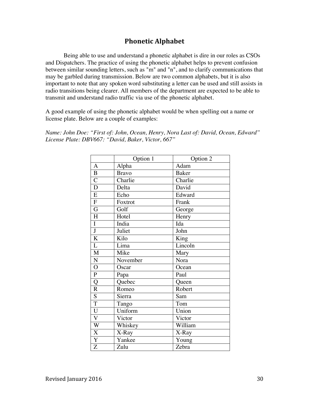## **Phonetic Alphabet**

Being able to use and understand a phonetic alphabet is dire in our roles as CSOs and Dispatchers. The practice of using the phonetic alphabet helps to prevent confusion between similar sounding letters, such as "m" and "n", and to clarify communications that may be garbled during transmission. Below are two common alphabets, but it is also important to note that any spoken word substituting a letter can be used and still assists in radio transitions being clearer. All members of the department are expected to be able to transmit and understand radio traffic via use of the phonetic alphabet.

A good example of using the phonetic alphabet would be when spelling out a name or license plate. Below are a couple of examples:

*Name: John Doe: "First of: John, Ocean, Henry, Nora Last of: David, Ocean, Edward" License Plate: DBV667: "David, Baker, Victor, 667"*

|                | Option 1     | Option 2     |
|----------------|--------------|--------------|
| A              | Alpha        | Adam         |
| B              | <b>Bravo</b> | <b>Baker</b> |
| $\mathcal{C}$  | Charlie      | Charlie      |
| $\mathbf D$    | Delta        | David        |
| E              | Echo         | Edward       |
| ${\bf F}$      | Foxtrot      | Frank        |
| G              | Golf         | George       |
| H              | Hotel        | Henry        |
| $\mathbf I$    | India        | Ida          |
| $\bf J$        | Juliet       | John         |
| $\bf K$        | Kilo         | King         |
| $\overline{L}$ | Lima         | Lincoln      |
| M              | Mike         | Mary         |
| $\mathbf N$    | November     | Nora         |
| $\mathbf O$    | Oscar        | Ocean        |
| ${\bf P}$      | Papa         | Paul         |
| Q              | Quebec       | Queen        |
| $\mathbf R$    | Romeo        | Robert       |
| $\overline{S}$ | Sierra       | Sam          |
| $\overline{T}$ | Tango        | Tom          |
| $\mathbf U$    | Uniform      | Union        |
| $\mathbf V$    | Victor       | Victor       |
| W              | Whiskey      | William      |
| $\mathbf X$    | X-Ray        | X-Ray        |
| Y              | Yankee       | Young        |
| Z              | Zulu         | Zebra        |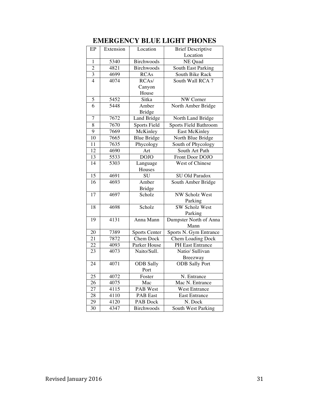| EP              | Extension | Location             | <b>Brief Descriptive</b>  |
|-----------------|-----------|----------------------|---------------------------|
|                 |           |                      | Location                  |
| 1               | 5340      | Birchwoods           | NE Quad                   |
| $\overline{2}$  | 4821      | <b>Birchwoods</b>    | <b>South East Parking</b> |
| $\overline{3}$  | 4699      | <b>RCAs</b>          | South Bike Rack           |
| $\overline{4}$  | 4074      | RCA <sub>s</sub> /   | South Wall RCA 7          |
|                 |           | Canyon               |                           |
|                 |           | House                |                           |
| 5               | 5452      | Sitka                | NW Corner                 |
| 6               | 5448      | Amber                | North Amber Bridge        |
|                 |           | <b>Bridge</b>        |                           |
| $\overline{7}$  | 7672      | Land Bridge          | North Land Bridge         |
| 8               | 7670      | <b>Sports Field</b>  | Sports Field Bathroom     |
| $\overline{9}$  | 7669      | McKinley             | <b>East McKinley</b>      |
| 10              | 7665      | <b>Blue Bridge</b>   | North Blue Bridge         |
| 11              | 7635      | Phycology            | South of Phycology        |
| 12              | 4690      | Art                  | South Art Path            |
| 13              | 5533      | <b>DOJO</b>          | Front Door DOJO           |
| 14              | 5303      | Language             | West of Chinese           |
|                 |           | Houses               |                           |
| $\overline{15}$ | 4691      | SU                   | SU Old Paradox            |
| $\overline{16}$ | 4693      | Amber                | South Amber Bridge        |
|                 |           | <b>Bridge</b>        |                           |
| $\overline{17}$ | 4697      | Scholz               | <b>NW Scholz West</b>     |
|                 |           |                      | Parking                   |
| 18              | 4698      | Scholz               | <b>SW Scholz West</b>     |
|                 |           |                      | Parking                   |
| 19              | 4131      | Anna Mann            | Dumpster North of Anna    |
|                 |           |                      | Mann                      |
| 20              | 7389      | <b>Sports Center</b> | Sports N. Gym Entrance    |
| 21              | 7872      | Chem Dock            | <b>Chem Loading Dock</b>  |
| 22              | 4093      | Parker House         | PH East Entrance          |
| 23              | 4073      | Naito/Sull.          | Natio/ Sullivan           |
|                 |           |                      | Breezway                  |
| 24              | 4071      | ODB Sally            | <b>ODB</b> Sally Port     |
|                 |           | Port                 |                           |
| 25              | 4072      | Foster               | N. Entrance               |
| 26              | 4075      | Mac                  | Mac N. Entrance           |
| 27              | 4115      | PAB West             | <b>West Entrance</b>      |
| 28              | 4110      | <b>PAB</b> East      | <b>East Entrance</b>      |
| 29              | 4120      | PAB Dock             | N. Dock                   |
| 30              | 4347      | Birchwoods           | South West Parking        |

## **EMERGENCY BLUE LIGHT PHONES**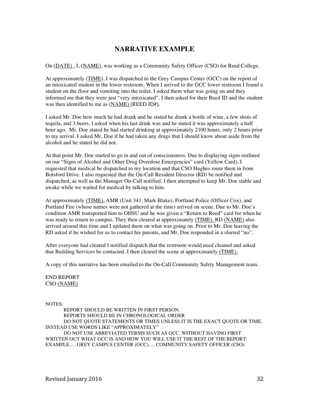### **NARRATIVE EXAMPLE**

On (DATE), I, (NAME), was working as a Community Safety Officer (CSO) for Reed College.

At approximately (TIME), I was dispatched to the Grey Campus Center (GCC) on the report of an intoxicated student in the lower restroom. When I arrived to the GCC lower restroom I found a student on the floor and vomiting into the toilet. I asked them what was going on and they informed me that they were just "very intoxicated". I then asked for their Reed ID and the student was then identified to me as (NAME) (REED ID#).

I asked Mr. Doe how much he had drank and he stated he drank a bottle of wine, a few shots of tequila, and 3 beers. I asked when his last drink was and he stated it was approximately a half hour ago. Mr. Doe stated he had started drinking at approximately 2100 hours, only 2 hours prior to my arrival. I asked Mr. Doe if he had taken any drugs that I should know about aside from the alcohol and he stated he did not.

At that point Mr. Doe started to go in and out of consciousness. Due to displaying signs outlined on our "Signs of Alcohol and Other Drug Overdose Emergencies" card (Yellow Card), I requested that medical be dispatched to my location and that CSO Hughes route them in from Botsford Drive. I also requested that the On-Call Resident Director (RD) be notified and dispatched, as well as the Manager On-Call notified. I then attempted to keep Mr. Doe stable and awake while we waited for medical by talking to him.

At approximately (TIME), AMR (Unit 341, Mark Blake), Portland Police (Officer Cox), and Portland Fire (whose names were not gathered at the time) arrived on scene. Due to Mr. Doe's condition AMR transported him to OHSU and he was given a "Return to Reed" card for when he was ready to return to campus. They then cleared at approximately (TIME). RD (NAME) also arrived around this time and I updated them on what was going on. Prior to Mr. Doe leaving the RD asked if he wished for us to contact his parents, and Mr. Doe responded in a slurred "no".

After everyone had cleared I notified dispatch that the restroom would need cleaned and asked that Building Services be contacted. I then cleared the scene at approximately (TIME).

A copy of this narrative has been emailed to the On-Call Community Safety Management team.

END REPORT CSO (NAME)

NOTES:

REPORT SHOULD BE WRITTEN IN FIRST PERSON. REPORTS SHOULD BE IN CHRONOLOGICAL ORDER DO NOT QUOTE STATEMENTS OR TIMES UNLESS IT IS THE EXACT QUOTE OR TIME. INSTEAD USE WORDS LIKE "APPROXIMATELY" DO NOT USE ABREVIATED TERMS SUCH AS GCC, WITHOUT HAVING FIRST WRITTEN OUT WHAT GCC IS AND HOW YOU WILL USE IT THE REST OF THE REPORT: EXAMPLE…. GREY CAMPUS CENTER (GCC)…. COMMUNITY SAFETY OFFICER (CSO)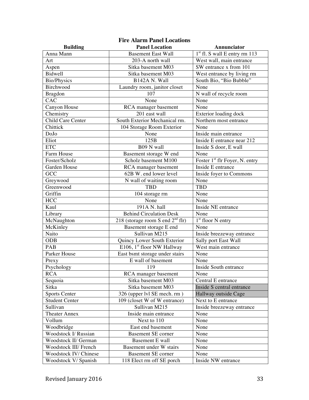| <b>Fire Alarm Panel Locations</b> |                                    |                                            |  |
|-----------------------------------|------------------------------------|--------------------------------------------|--|
| <b>Building</b>                   | <b>Panel Location</b>              | Annunciator                                |  |
| Anna Mann                         | <b>Basement East Wall</b>          | $1st$ fl. S wall E entry rm 113            |  |
| Art                               | 203-A north wall                   | West wall, main entrance                   |  |
| Aspen                             | Sitka basement M03                 | SW entrance x from 101                     |  |
| Bidwell                           | Sitka basement M03                 | West entrance by living rm                 |  |
| <b>Bio/Physics</b>                | B142A N. Wall                      | South Bio, "Bio Bubble"                    |  |
| Birchwood                         | Laundry room, janitor closet       | None                                       |  |
| <b>Bragdon</b>                    | 107                                | N wall of recycle room                     |  |
| CAC                               | None                               | None                                       |  |
| Canyon House                      | RCA manager basement               | None                                       |  |
| Chemistry                         | 201 east wall                      | Exterior loading dock                      |  |
| Child Care Center                 | South Exterior Mechanical rm.      | Northern most entrance                     |  |
| Chittick                          | 104 Storage Room Exterior          | None                                       |  |
| DoJo                              | None                               | Inside main entrance                       |  |
| Eliot                             | 125B                               | Inside E entrance near 212                 |  |
| <b>ETC</b>                        | B09 N wall                         | Inside S door, E wall                      |  |
| Farm House                        | Basement storage W end             | None                                       |  |
| Foster/Scholz                     | Scholz basement M100               | Foster 1 <sup>st</sup> flr Foyer, N. entry |  |
| Garden House                      | RCA manager basement               | Inside E entrance                          |  |
| GCC                               | 62B W. end lower level             | Inside foyer to Commons                    |  |
| Greywood                          | N wall of waiting room             | None                                       |  |
| Greenwood                         | <b>TBD</b>                         | <b>TBD</b>                                 |  |
| Griffin                           | 104 storage rm                     | None                                       |  |
| <b>HCC</b>                        | None                               | None                                       |  |
| Kaul                              | 191A N. hall                       | Inside NE entrance                         |  |
| Library                           | <b>Behind Circulation Desk</b>     | None                                       |  |
| McNaughton                        | 218 (storage room S end $2nd$ flr) | $1st$ floor N entry                        |  |
| McKinley                          | Basement storage E end             | None                                       |  |
| Naito                             | Sullivan M215                      | Inside breezeway entrance                  |  |
| <b>ODB</b>                        | Quincy Lower South Exterior        | Sally port East Wall                       |  |
| PAB                               | E106, 1st floor NW Hallway         | West main entrance                         |  |
| Parker House                      | East bsmt storage under stairs     | None                                       |  |
| Prexy                             | E wall of basement                 | None                                       |  |
| Psychology                        | 119                                | Inside South entrance                      |  |
| <b>RCA</b>                        | RCA manager basement               | None                                       |  |
| Sequoia                           | Sitka basement M03                 | Central E entrance                         |  |
| Sitka                             | Sitka basement M03                 | Inside S central entrance                  |  |
| <b>Sports Center</b>              | 326 (upper lvl SE mech. rm)        | Hallway outside Cage                       |  |
| <b>Student Center</b>             | 109 (closet W of W entrance)       | Next to E entrance                         |  |
| Sullivan                          | Sullivan M215                      | Inside breezeway entrance                  |  |
| <b>Theater Annex</b>              | Inside main entrance               | None                                       |  |
| Vollum                            | Next to 110                        | None                                       |  |
| Woodbridge                        | East end basement                  | None                                       |  |
| Woodstock I/ Russian              | <b>Basement SE corner</b>          | None                                       |  |
| Woodstock II/ German              | <b>Basement E wall</b>             | None                                       |  |
| Woodstock III/ French             | Basement under W stairs            | None                                       |  |
| Woodstock IV/ Chinese             | <b>Basement SE corner</b>          | None                                       |  |
| Woodstock V/ Spanish              | 118 Elect rm off SE porch          | Inside NW entrance                         |  |